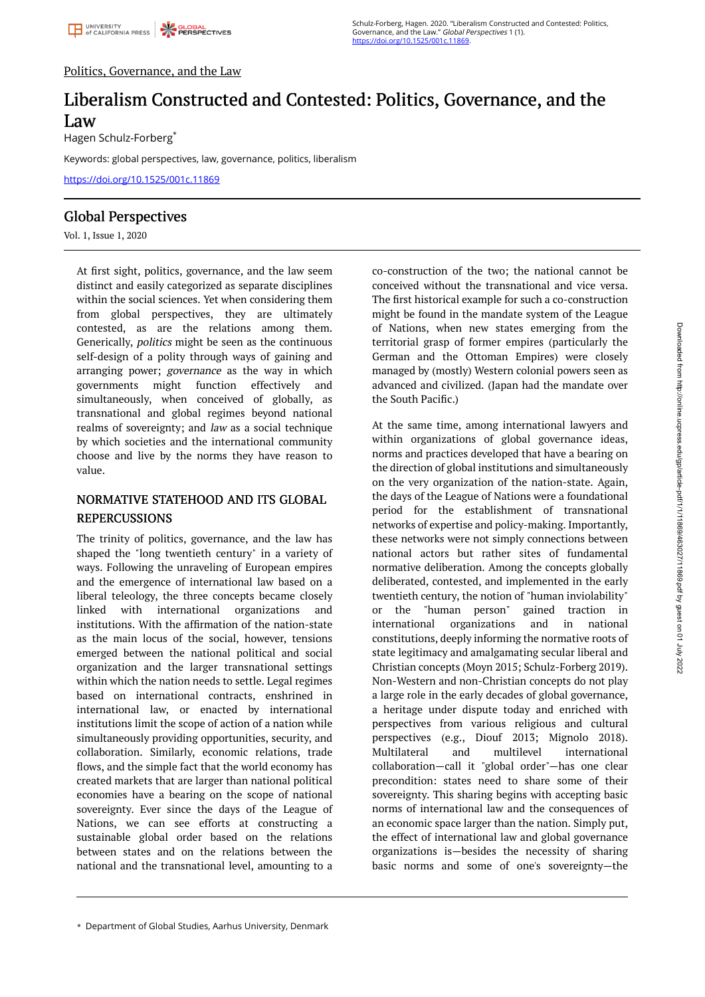#### Politics, Governance, and the Law

# Liberalism Constructed and Contested: Politics, Governance, and the Law Hagen Schulz-Forberg\*

Keywords: global perspectives, law, governance, politics, liberalism

<https://doi.org/10.1525/001c.11869>

#### Global Perspectives

Vol. 1, Issue 1, 2020

At first sight, politics, governance, and the law seem distinct and easily categorized as separate disciplines within the social sciences. Yet when considering them from global perspectives, they are ultimately contested, as are the relations among them. Generically, politics might be seen as the continuous self-design of a polity through ways of gaining and arranging power; governance as the way in which governments might function effectively and simultaneously, when conceived of globally, as transnational and global regimes beyond national realms of sovereignty; and law as a social technique by which societies and the international community choose and live by the norms they have reason to value.

#### NORMATIVE STATEHOOD AND ITS GLOBAL REPERCUSSIONS

The trinity of politics, governance, and the law has shaped the "long twentieth century" in a variety of ways. Following the unraveling of European empires and the emergence of international law based on a liberal teleology, the three concepts became closely linked with international organizations and institutions. With the affirmation of the nation-state as the main locus of the social, however, tensions emerged between the national political and social organization and the larger transnational settings within which the nation needs to settle. Legal regimes based on international contracts, enshrined in international law, or enacted by international institutions limit the scope of action of a nation while simultaneously providing opportunities, security, and collaboration. Similarly, economic relations, trade flows, and the simple fact that the world economy has created markets that are larger than national political economies have a bearing on the scope of national sovereignty. Ever since the days of the League of Nations, we can see efforts at constructing a sustainable global order based on the relations between states and on the relations between the national and the transnational level, amounting to a co-construction of the two; the national cannot be conceived without the transnational and vice versa. The first historical example for such a co-construction might be found in the mandate system of the League of Nations, when new states emerging from the territorial grasp of former empires (particularly the German and the Ottoman Empires) were closely managed by (mostly) Western colonial powers seen as advanced and civilized. (Japan had the mandate over the South Pacific.)

At the same time, among international lawyers and within organizations of global governance ideas, norms and practices developed that have a bearing on the direction of global institutions and simultaneously on the very organization of the nation-state. Again, the days of the League of Nations were a foundational period for the establishment of transnational networks of expertise and policy-making. Importantly, these networks were not simply connections between national actors but rather sites of fundamental normative deliberation. Among the concepts globally deliberated, contested, and implemented in the early twentieth century, the notion of "human inviolability" or the "human person" gained traction in international organizations and in national constitutions, deeply informing the normative roots of state legitimacy and amalgamating secular liberal and Christian concepts (Moyn 2015; Schulz-Forberg 2019). Non-Western and non-Christian concepts do not play a large role in the early decades of global governance, a heritage under dispute today and enriched with perspectives from various religious and cultural perspectives (e.g., Diouf 2013; Mignolo 2018). Multilateral and multilevel international collaboration—call it "global order"—has one clear precondition: states need to share some of their sovereignty. This sharing begins with accepting basic norms of international law and the consequences of an economic space larger than the nation. Simply put, the effect of international law and global governance organizations is—besides the necessity of sharing basic norms and some of one's sovereignty—the

<sup>\*</sup> Department of Global Studies, Aarhus University, Denmark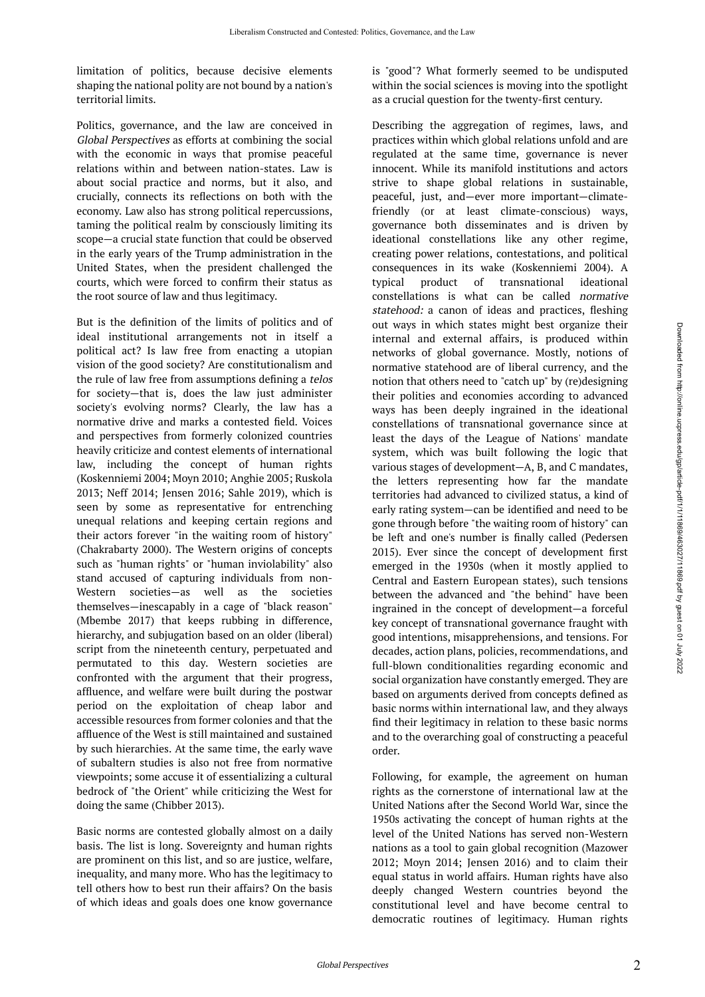limitation of politics, because decisive elements shaping the national polity are not bound by a nation's territorial limits.

Politics, governance, and the law are conceived in Global Perspectives as efforts at combining the social with the economic in ways that promise peaceful relations within and between nation-states. Law is about social practice and norms, but it also, and crucially, connects its reflections on both with the economy. Law also has strong political repercussions, taming the political realm by consciously limiting its scope—a crucial state function that could be observed in the early years of the Trump administration in the United States, when the president challenged the courts, which were forced to confirm their status as the root source of law and thus legitimacy.

But is the definition of the limits of politics and of ideal institutional arrangements not in itself a political act? Is law free from enacting a utopian vision of the good society? Are constitutionalism and the rule of law free from assumptions defining a telos for society—that is, does the law just administer society's evolving norms? Clearly, the law has a normative drive and marks a contested field. Voices and perspectives from formerly colonized countries heavily criticize and contest elements of international law, including the concept of human rights (Koskenniemi 2004; Moyn 2010; Anghie 2005; Ruskola 2013; Neff 2014; Jensen 2016; Sahle 2019), which is seen by some as representative for entrenching unequal relations and keeping certain regions and their actors forever "in the waiting room of history" (Chakrabarty 2000). The Western origins of concepts such as "human rights" or "human inviolability" also stand accused of capturing individuals from non-Western societies—as well as the societies themselves—inescapably in a cage of "black reason" (Mbembe 2017) that keeps rubbing in difference, hierarchy, and subjugation based on an older (liberal) script from the nineteenth century, perpetuated and permutated to this day. Western societies are confronted with the argument that their progress, affluence, and welfare were built during the postwar period on the exploitation of cheap labor and accessible resources from former colonies and that the affluence of the West is still maintained and sustained by such hierarchies. At the same time, the early wave of subaltern studies is also not free from normative viewpoints; some accuse it of essentializing a cultural bedrock of "the Orient" while criticizing the West for doing the same (Chibber 2013).

Basic norms are contested globally almost on a daily basis. The list is long. Sovereignty and human rights are prominent on this list, and so are justice, welfare, inequality, and many more. Who has the legitimacy to tell others how to best run their affairs? On the basis of which ideas and goals does one know governance is "good"? What formerly seemed to be undisputed within the social sciences is moving into the spotlight as a crucial question for the twenty-first century.

Describing the aggregation of regimes, laws, and practices within which global relations unfold and are regulated at the same time, governance is never innocent. While its manifold institutions and actors strive to shape global relations in sustainable, peaceful, just, and—ever more important—climatefriendly (or at least climate-conscious) ways, governance both disseminates and is driven by ideational constellations like any other regime, creating power relations, contestations, and political consequences in its wake (Koskenniemi 2004). A typical product of transnational ideational constellations is what can be called normative statehood: a canon of ideas and practices, fleshing out ways in which states might best organize their internal and external affairs, is produced within networks of global governance. Mostly, notions of normative statehood are of liberal currency, and the notion that others need to "catch up" by (re)designing their polities and economies according to advanced ways has been deeply ingrained in the ideational constellations of transnational governance since at least the days of the League of Nations' mandate system, which was built following the logic that various stages of development—A, B, and C mandates, the letters representing how far the mandate territories had advanced to civilized status, a kind of early rating system—can be identified and need to be gone through before "the waiting room of history" can be left and one's number is finally called (Pedersen 2015). Ever since the concept of development first emerged in the 1930s (when it mostly applied to Central and Eastern European states), such tensions between the advanced and "the behind" have been ingrained in the concept of development—a forceful key concept of transnational governance fraught with good intentions, misapprehensions, and tensions. For decades, action plans, policies, recommendations, and full-blown conditionalities regarding economic and social organization have constantly emerged. They are based on arguments derived from concepts defined as basic norms within international law, and they always find their legitimacy in relation to these basic norms and to the overarching goal of constructing a peaceful order.

Following, for example, the agreement on human rights as the cornerstone of international law at the United Nations after the Second World War, since the 1950s activating the concept of human rights at the level of the United Nations has served non-Western nations as a tool to gain global recognition (Mazower 2012; Moyn 2014; Jensen 2016) and to claim their equal status in world affairs. Human rights have also deeply changed Western countries beyond the constitutional level and have become central to democratic routines of legitimacy. Human rights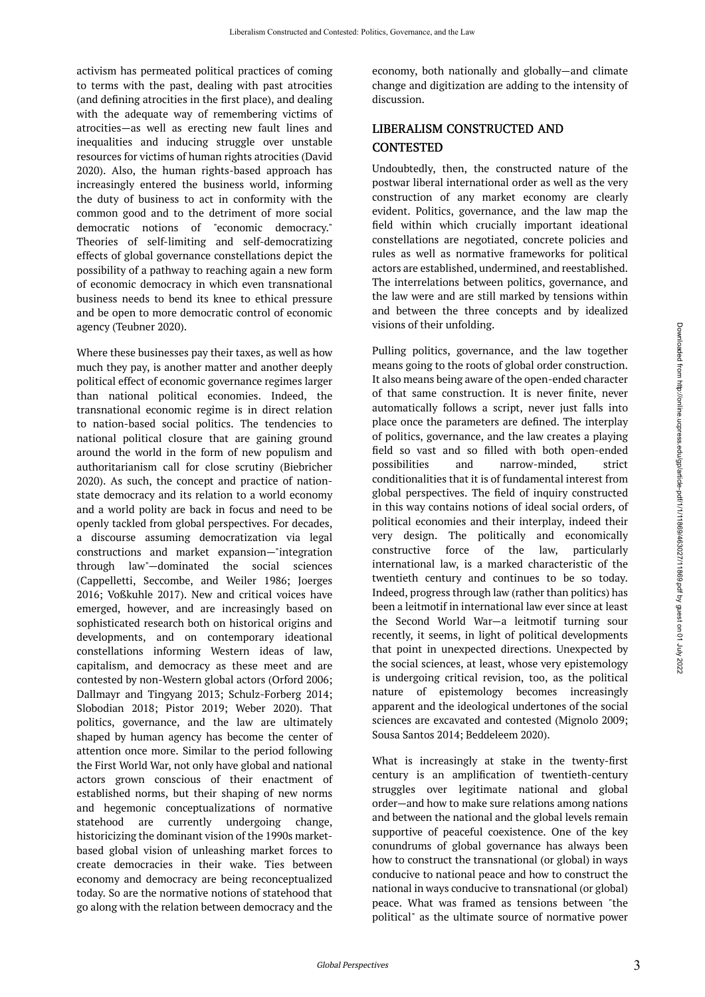activism has permeated political practices of coming to terms with the past, dealing with past atrocities (and defining atrocities in the first place), and dealing with the adequate way of remembering victims of atrocities—as well as erecting new fault lines and inequalities and inducing struggle over unstable resources for victims of human rights atrocities (David 2020). Also, the human rights-based approach has increasingly entered the business world, informing the duty of business to act in conformity with the common good and to the detriment of more social democratic notions of "economic democracy." Theories of self-limiting and self-democratizing effects of global governance constellations depict the possibility of a pathway to reaching again a new form of economic democracy in which even transnational business needs to bend its knee to ethical pressure and be open to more democratic control of economic agency (Teubner 2020).

Where these businesses pay their taxes, as well as how much they pay, is another matter and another deeply political effect of economic governance regimes larger than national political economies. Indeed, the transnational economic regime is in direct relation to nation-based social politics. The tendencies to national political closure that are gaining ground around the world in the form of new populism and authoritarianism call for close scrutiny (Biebricher 2020). As such, the concept and practice of nationstate democracy and its relation to a world economy and a world polity are back in focus and need to be openly tackled from global perspectives. For decades, a discourse assuming democratization via legal constructions and market expansion—"integration through law"—dominated the social sciences (Cappelletti, Seccombe, and Weiler 1986; Joerges 2016; Voßkuhle 2017). New and critical voices have emerged, however, and are increasingly based on sophisticated research both on historical origins and developments, and on contemporary ideational constellations informing Western ideas of law, capitalism, and democracy as these meet and are contested by non-Western global actors (Orford 2006; Dallmayr and Tingyang 2013; Schulz-Forberg 2014; Slobodian 2018; Pistor 2019; Weber 2020). That politics, governance, and the law are ultimately shaped by human agency has become the center of attention once more. Similar to the period following the First World War, not only have global and national actors grown conscious of their enactment of established norms, but their shaping of new norms and hegemonic conceptualizations of normative statehood are currently undergoing change, historicizing the dominant vision of the 1990s marketbased global vision of unleashing market forces to create democracies in their wake. Ties between economy and democracy are being reconceptualized today. So are the normative notions of statehood that go along with the relation between democracy and the economy, both nationally and globally—and climate change and digitization are adding to the intensity of discussion.

### LIBERALISM CONSTRUCTED AND **CONTESTED**

Undoubtedly, then, the constructed nature of the postwar liberal international order as well as the very construction of any market economy are clearly evident. Politics, governance, and the law map the field within which crucially important ideational constellations are negotiated, concrete policies and rules as well as normative frameworks for political actors are established, undermined, and reestablished. The interrelations between politics, governance, and the law were and are still marked by tensions within and between the three concepts and by idealized visions of their unfolding.

Pulling politics, governance, and the law together means going to the roots of global order construction. It also means being aware of the open-ended character of that same construction. It is never finite, never automatically follows a script, never just falls into place once the parameters are defined. The interplay of politics, governance, and the law creates a playing field so vast and so filled with both open-ended possibilities and narrow-minded, strict conditionalities that it is of fundamental interest from global perspectives. The field of inquiry constructed in this way contains notions of ideal social orders, of political economies and their interplay, indeed their very design. The politically and economically constructive force of the law, particularly international law, is a marked characteristic of the twentieth century and continues to be so today. Indeed, progress through law (rather than politics) has been a leitmotif in international law ever since at least the Second World War—a leitmotif turning sour recently, it seems, in light of political developments that point in unexpected directions. Unexpected by the social sciences, at least, whose very epistemology is undergoing critical revision, too, as the political nature of epistemology becomes increasingly apparent and the ideological undertones of the social sciences are excavated and contested (Mignolo 2009; Sousa Santos 2014; Beddeleem 2020).

What is increasingly at stake in the twenty-first century is an amplification of twentieth-century struggles over legitimate national and global order—and how to make sure relations among nations and between the national and the global levels remain supportive of peaceful coexistence. One of the key conundrums of global governance has always been how to construct the transnational (or global) in ways conducive to national peace and how to construct the national in ways conducive to transnational (or global) peace. What was framed as tensions between "the political" as the ultimate source of normative power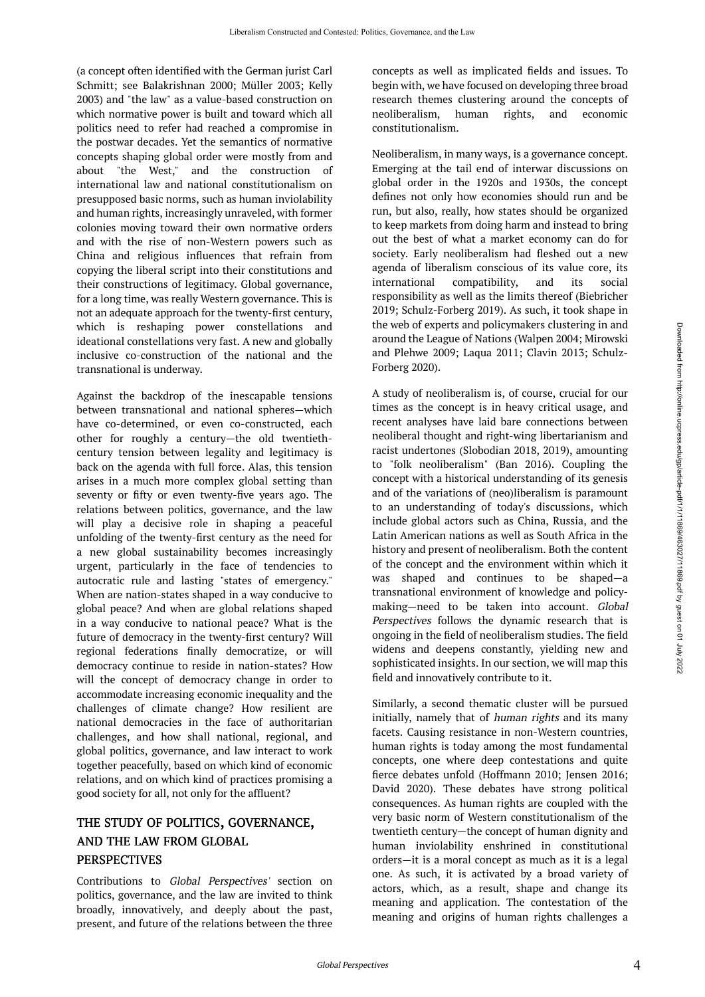(a concept often identified with the German jurist Carl Schmitt; see Balakrishnan 2000; Müller 2003; Kelly 2003) and "the law" as a value-based construction on which normative power is built and toward which all politics need to refer had reached a compromise in the postwar decades. Yet the semantics of normative concepts shaping global order were mostly from and about "the West," and the construction of international law and national constitutionalism on presupposed basic norms, such as human inviolability and human rights, increasingly unraveled, with former colonies moving toward their own normative orders and with the rise of non-Western powers such as China and religious influences that refrain from copying the liberal script into their constitutions and their constructions of legitimacy. Global governance, for a long time, was really Western governance. This is not an adequate approach for the twenty-first century, which is reshaping power constellations and ideational constellations very fast. A new and globally inclusive co-construction of the national and the transnational is underway.

Against the backdrop of the inescapable tensions between transnational and national spheres—which have co-determined, or even co-constructed, each other for roughly a century—the old twentiethcentury tension between legality and legitimacy is back on the agenda with full force. Alas, this tension arises in a much more complex global setting than seventy or fifty or even twenty-five years ago. The relations between politics, governance, and the law will play a decisive role in shaping a peaceful unfolding of the twenty-first century as the need for a new global sustainability becomes increasingly urgent, particularly in the face of tendencies to autocratic rule and lasting "states of emergency." When are nation-states shaped in a way conducive to global peace? And when are global relations shaped in a way conducive to national peace? What is the future of democracy in the twenty-first century? Will regional federations finally democratize, or will democracy continue to reside in nation-states? How will the concept of democracy change in order to accommodate increasing economic inequality and the challenges of climate change? How resilient are national democracies in the face of authoritarian challenges, and how shall national, regional, and global politics, governance, and law interact to work together peacefully, based on which kind of economic relations, and on which kind of practices promising a good society for all, not only for the affluent?

## THE STUDY OF POLITICS, GOVERNANCE, AND THE LAW FROM GLOBAL PERSPECTIVES

Contributions to Global Perspectives' section on politics, governance, and the law are invited to think broadly, innovatively, and deeply about the past, present, and future of the relations between the three concepts as well as implicated fields and issues. To begin with, we have focused on developing three broad research themes clustering around the concepts of neoliberalism, human rights, and economic constitutionalism.

Neoliberalism, in many ways, is a governance concept. Emerging at the tail end of interwar discussions on global order in the 1920s and 1930s, the concept defines not only how economies should run and be run, but also, really, how states should be organized to keep markets from doing harm and instead to bring out the best of what a market economy can do for society. Early neoliberalism had fleshed out a new agenda of liberalism conscious of its value core, its international compatibility, and its social responsibility as well as the limits thereof (Biebricher 2019; Schulz-Forberg 2019). As such, it took shape in the web of experts and policymakers clustering in and around the League of Nations (Walpen 2004; Mirowski and Plehwe 2009; Laqua 2011; Clavin 2013; Schulz-Forberg 2020).

A study of neoliberalism is, of course, crucial for our times as the concept is in heavy critical usage, and recent analyses have laid bare connections between neoliberal thought and right-wing libertarianism and racist undertones (Slobodian 2018, 2019), amounting to "folk neoliberalism" (Ban 2016). Coupling the concept with a historical understanding of its genesis and of the variations of (neo)liberalism is paramount to an understanding of today's discussions, which include global actors such as China, Russia, and the Latin American nations as well as South Africa in the history and present of neoliberalism. Both the content of the concept and the environment within which it was shaped and continues to be shaped—a transnational environment of knowledge and policymaking—need to be taken into account. Global Perspectives follows the dynamic research that is ongoing in the field of neoliberalism studies. The field widens and deepens constantly, yielding new and sophisticated insights. In our section, we will map this field and innovatively contribute to it.

Similarly, a second thematic cluster will be pursued initially, namely that of human rights and its many facets. Causing resistance in non-Western countries, human rights is today among the most fundamental concepts, one where deep contestations and quite fierce debates unfold (Hoffmann 2010; Jensen 2016; David 2020). These debates have strong political consequences. As human rights are coupled with the very basic norm of Western constitutionalism of the twentieth century—the concept of human dignity and human inviolability enshrined in constitutional orders—it is a moral concept as much as it is a legal one. As such, it is activated by a broad variety of actors, which, as a result, shape and change its meaning and application. The contestation of the meaning and origins of human rights challenges a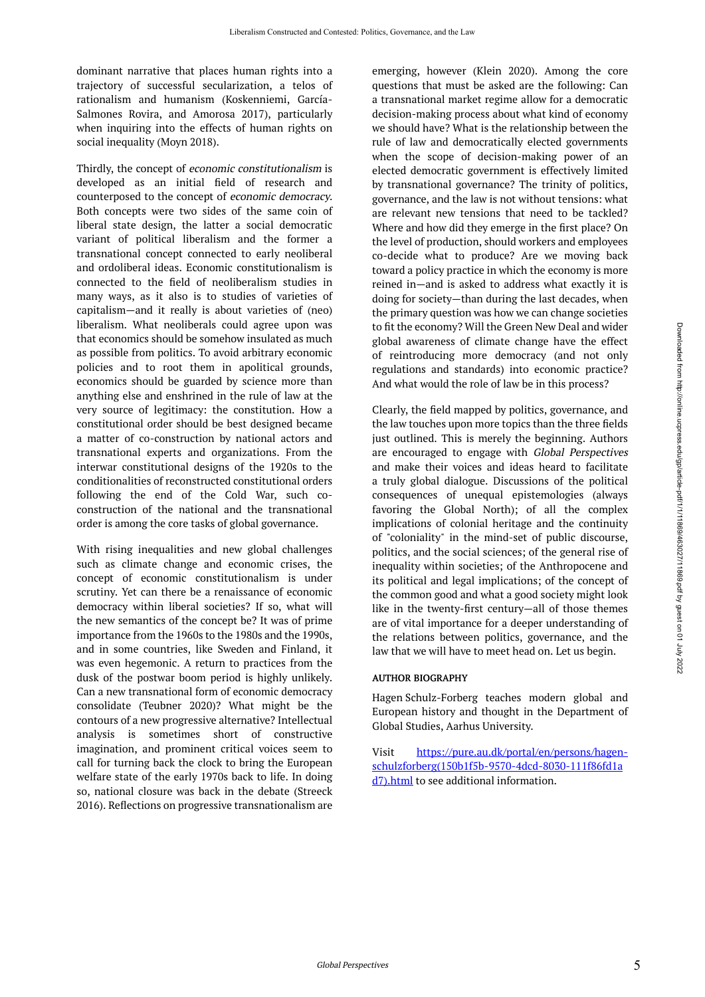dominant narrative that places human rights into a trajectory of successful secularization, a telos of rationalism and humanism (Koskenniemi, García-Salmones Rovira, and Amorosa 2017), particularly when inquiring into the effects of human rights on social inequality (Moyn 2018).

Thirdly, the concept of economic constitutionalism is developed as an initial field of research and counterposed to the concept of economic democracy. Both concepts were two sides of the same coin of liberal state design, the latter a social democratic variant of political liberalism and the former a transnational concept connected to early neoliberal and ordoliberal ideas. Economic constitutionalism is connected to the field of neoliberalism studies in many ways, as it also is to studies of varieties of capitalism—and it really is about varieties of (neo) liberalism. What neoliberals could agree upon was that economics should be somehow insulated as much as possible from politics. To avoid arbitrary economic policies and to root them in apolitical grounds, economics should be guarded by science more than anything else and enshrined in the rule of law at the very source of legitimacy: the constitution. How a constitutional order should be best designed became a matter of co-construction by national actors and transnational experts and organizations. From the interwar constitutional designs of the 1920s to the conditionalities of reconstructed constitutional orders following the end of the Cold War, such coconstruction of the national and the transnational order is among the core tasks of global governance.

With rising inequalities and new global challenges such as climate change and economic crises, the concept of economic constitutionalism is under scrutiny. Yet can there be a renaissance of economic democracy within liberal societies? If so, what will the new semantics of the concept be? It was of prime importance from the 1960s to the 1980s and the 1990s, and in some countries, like Sweden and Finland, it was even hegemonic. A return to practices from the dusk of the postwar boom period is highly unlikely. Can a new transnational form of economic democracy consolidate (Teubner 2020)? What might be the contours of a new progressive alternative? Intellectual analysis is sometimes short of constructive imagination, and prominent critical voices seem to call for turning back the clock to bring the European welfare state of the early 1970s back to life. In doing so, national closure was back in the debate (Streeck 2016). Reflections on progressive transnationalism are emerging, however (Klein 2020). Among the core questions that must be asked are the following: Can a transnational market regime allow for a democratic decision-making process about what kind of economy we should have? What is the relationship between the rule of law and democratically elected governments when the scope of decision-making power of an elected democratic government is effectively limited by transnational governance? The trinity of politics, governance, and the law is not without tensions: what are relevant new tensions that need to be tackled? Where and how did they emerge in the first place? On the level of production, should workers and employees co-decide what to produce? Are we moving back toward a policy practice in which the economy is more reined in—and is asked to address what exactly it is doing for society—than during the last decades, when the primary question was how we can change societies to fit the economy? Will the Green New Deal and wider global awareness of climate change have the effect of reintroducing more democracy (and not only regulations and standards) into economic practice? And what would the role of law be in this process?

Clearly, the field mapped by politics, governance, and the law touches upon more topics than the three fields just outlined. This is merely the beginning. Authors are encouraged to engage with Global Perspectives and make their voices and ideas heard to facilitate a truly global dialogue. Discussions of the political consequences of unequal epistemologies (always favoring the Global North); of all the complex implications of colonial heritage and the continuity of "coloniality" in the mind-set of public discourse, politics, and the social sciences; of the general rise of inequality within societies; of the Anthropocene and its political and legal implications; of the concept of the common good and what a good society might look like in the twenty-first century—all of those themes are of vital importance for a deeper understanding of the relations between politics, governance, and the law that we will have to meet head on. Let us begin.

#### AUTHOR BIOGRAPHY

Hagen Schulz-Forberg teaches modern global and European history and thought in the Department of Global Studies, Aarhus University.

Visit [https://pure.au.dk/portal/en/persons/hagen](https://pure.au.dk/portal/en/persons/hagen-schulzforberg(150b1f5b-9570-4dcd-8030-111f86fd1ad7).html)[schulzforberg\(150b1f5b-9570-4dcd-8030-111f86fd1a](https://pure.au.dk/portal/en/persons/hagen-schulzforberg(150b1f5b-9570-4dcd-8030-111f86fd1ad7).html) [d7\).html](https://pure.au.dk/portal/en/persons/hagen-schulzforberg(150b1f5b-9570-4dcd-8030-111f86fd1ad7).html) to see additional information.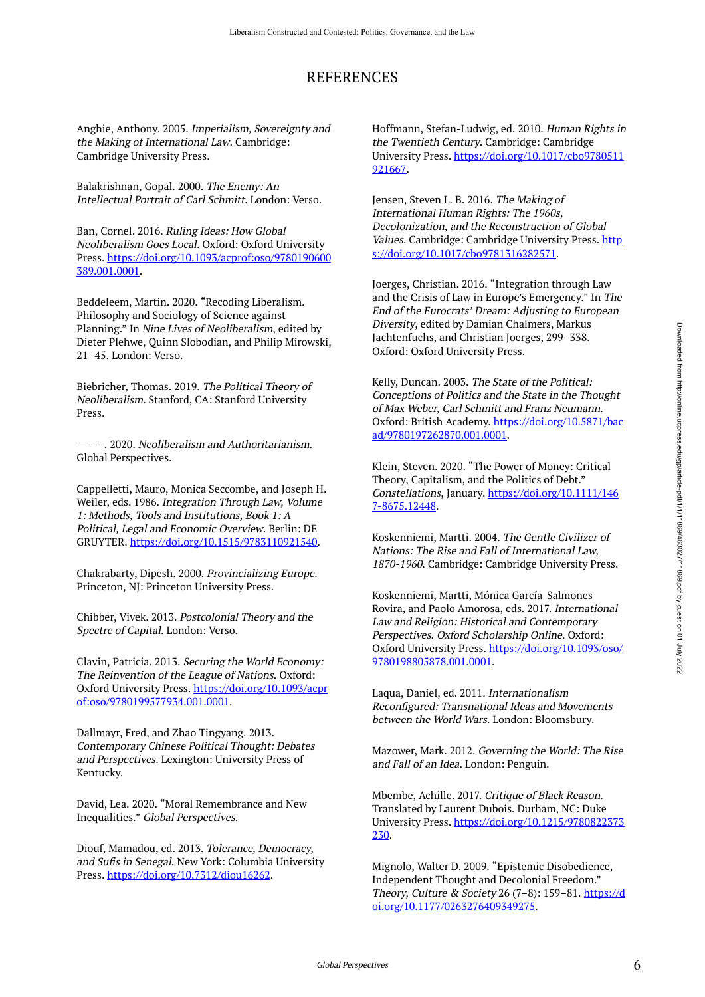# REFERENCES

Anghie, Anthony. 2005. Imperialism, Sovereignty and the Making of International Law. Cambridge: Cambridge University Press.

Balakrishnan, Gopal. 2000. The Enemy: An Intellectual Portrait of Carl Schmitt. London: Verso.

Ban, Cornel. 2016. Ruling Ideas: How Global Neoliberalism Goes Local. Oxford: Oxford University Press. [https://doi.org/10.1093/acprof:oso/9780190600](https://doi.org/10.1093/acprof:oso/9780190600389.001.0001) [389.001.0001.](https://doi.org/10.1093/acprof:oso/9780190600389.001.0001)

Beddeleem, Martin. 2020. "Recoding Liberalism. Philosophy and Sociology of Science against Planning." In Nine Lives of Neoliberalism, edited by Dieter Plehwe, Quinn Slobodian, and Philip Mirowski, 21–45. London: Verso.

Biebricher, Thomas. 2019. The Political Theory of Neoliberalism. Stanford, CA: Stanford University Press.

———. 2020. Neoliberalism and Authoritarianism. Global Perspectives.

Cappelletti, Mauro, Monica Seccombe, and Joseph H. Weiler, eds. 1986. Integration Through Law, Volume 1: Methods, Tools and Institutions, Book 1: A Political, Legal and Economic Overview. Berlin: DE GRUYTER. <https://doi.org/10.1515/9783110921540>.

Chakrabarty, Dipesh. 2000. Provincializing Europe. Princeton, NJ: Princeton University Press.

Chibber, Vivek. 2013. Postcolonial Theory and the Spectre of Capital. London: Verso.

Clavin, Patricia. 2013. Securing the World Economy: The Reinvention of the League of Nations. Oxford: Oxford University Press. [https://doi.org/10.1093/acpr](https://doi.org/10.1093/acprof:oso/9780199577934.001.0001) [of:oso/9780199577934.001.0001.](https://doi.org/10.1093/acprof:oso/9780199577934.001.0001)

Dallmayr, Fred, and Zhao Tingyang. 2013. Contemporary Chinese Political Thought: Debates and Perspectives. Lexington: University Press of Kentucky.

David, Lea. 2020. "Moral Remembrance and New Inequalities." Global Perspectives.

Diouf, Mamadou, ed. 2013. Tolerance, Democracy, and Sufis in Senegal. New York: Columbia University Press. <https://doi.org/10.7312/diou16262>.

Hoffmann, Stefan-Ludwig, ed. 2010. Human Rights in the Twentieth Century. Cambridge: Cambridge University Press. [https://doi.org/10.1017/cbo9780511](https://doi.org/10.1017/cbo9780511921667) [921667](https://doi.org/10.1017/cbo9780511921667).

Jensen, Steven L. B. 2016. The Making of International Human Rights: The 1960s, Decolonization, and the Reconstruction of Global Values. Cambridge: Cambridge University Press. [http](https://doi.org/10.1017/cbo9781316282571) [s://doi.org/10.1017/cbo9781316282571.](https://doi.org/10.1017/cbo9781316282571)

Joerges, Christian. 2016. "Integration through Law and the Crisis of Law in Europe's Emergency." In The End of the Eurocrats' Dream: Adjusting to European Diversity, edited by Damian Chalmers, Markus Jachtenfuchs, and Christian Joerges, 299–338. Oxford: Oxford University Press.

Kelly, Duncan. 2003. The State of the Political: Conceptions of Politics and the State in the Thought of Max Weber, Carl Schmitt and Franz Neumann. Oxford: British Academy. [https://doi.org/10.5871/bac](https://doi.org/10.5871/bacad/9780197262870.001.0001) [ad/9780197262870.001.0001](https://doi.org/10.5871/bacad/9780197262870.001.0001).

Klein, Steven. 2020. "The Power of Money: Critical Theory, Capitalism, and the Politics of Debt." Constellations, January. [https://doi.org/10.1111/146](https://doi.org/10.1111/1467-8675.12448) [7-8675.12448](https://doi.org/10.1111/1467-8675.12448).

Koskenniemi, Martti. 2004. The Gentle Civilizer of Nations: The Rise and Fall of International Law, 1870-1960. Cambridge: Cambridge University Press.

Koskenniemi, Martti, Mónica García-Salmones Rovira, and Paolo Amorosa, eds. 2017. International Law and Religion: Historical and Contemporary Perspectives. Oxford Scholarship Online. Oxford: Oxford University Press. [https://doi.org/10.1093/oso/](https://doi.org/10.1093/oso/9780198805878.001.0001) [9780198805878.001.0001](https://doi.org/10.1093/oso/9780198805878.001.0001).

Laqua, Daniel, ed. 2011. Internationalism Reconfigured: Transnational Ideas and Movements between the World Wars. London: Bloomsbury.

Mazower, Mark. 2012. Governing the World: The Rise and Fall of an Idea. London: Penguin.

Mbembe, Achille. 2017. Critique of Black Reason. Translated by Laurent Dubois. Durham, NC: Duke University Press. [https://doi.org/10.1215/9780822373](https://doi.org/10.1215/9780822373230) [230.](https://doi.org/10.1215/9780822373230)

Mignolo, Walter D. 2009. "Epistemic Disobedience, Independent Thought and Decolonial Freedom." Theory, Culture & Society 26 (7–8): 159–81. [https://d](https://doi.org/10.1177/0263276409349275) [oi.org/10.1177/0263276409349275](https://doi.org/10.1177/0263276409349275).